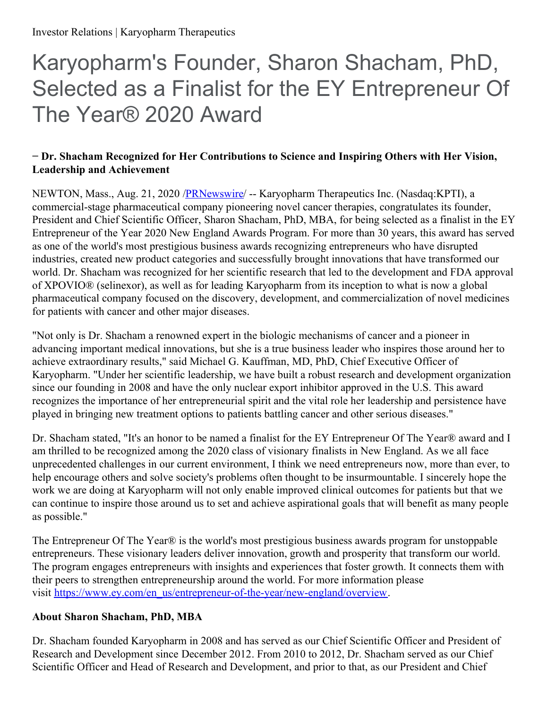# Karyopharm's Founder, Sharon Shacham, PhD, Selected as a Finalist for the EY Entrepreneur Of The Year® 2020 Award

### **− Dr. Shacham Recognized for Her Contributions to Science and Inspiring Others with Her Vision, Leadership and Achievement**

NEWTON, Mass., Aug. 21, 2020 [/PRNewswire](http://www.prnewswire.com/)/ -- Karyopharm Therapeutics Inc. (Nasdaq:KPTI), a commercial-stage pharmaceutical company pioneering novel cancer therapies, congratulates its founder, President and Chief Scientific Officer, Sharon Shacham, PhD, MBA, for being selected as a finalist in the EY Entrepreneur of the Year 2020 New England Awards Program. For more than 30 years, this award has served as one of the world's most prestigious business awards recognizing entrepreneurs who have disrupted industries, created new product categories and successfully brought innovations that have transformed our world. Dr. Shacham was recognized for her scientific research that led to the development and FDA approval of XPOVIO® (selinexor), as well as for leading Karyopharm from its inception to what is now a global pharmaceutical company focused on the discovery, development, and commercialization of novel medicines for patients with cancer and other major diseases.

"Not only is Dr. Shacham a renowned expert in the biologic mechanisms of cancer and a pioneer in advancing important medical innovations, but she is a true business leader who inspires those around her to achieve extraordinary results," said Michael G. Kauffman, MD, PhD, Chief Executive Officer of Karyopharm. "Under her scientific leadership, we have built a robust research and development organization since our founding in 2008 and have the only nuclear export inhibitor approved in the U.S. This award recognizes the importance of her entrepreneurial spirit and the vital role her leadership and persistence have played in bringing new treatment options to patients battling cancer and other serious diseases."

Dr. Shacham stated, "It's an honor to be named a finalist for the EY Entrepreneur Of The Year® award and I am thrilled to be recognized among the 2020 class of visionary finalists in New England. As we all face unprecedented challenges in our current environment, I think we need entrepreneurs now, more than ever, to help encourage others and solve society's problems often thought to be insurmountable. I sincerely hope the work we are doing at Karyopharm will not only enable improved clinical outcomes for patients but that we can continue to inspire those around us to set and achieve aspirational goals that will benefit as many people as possible."

The Entrepreneur Of The Year® is the world's most prestigious business awards program for unstoppable entrepreneurs. These visionary leaders deliver innovation, growth and prosperity that transform our world. The program engages entrepreneurs with insights and experiences that foster growth. It connects them with their peers to strengthen entrepreneurship around the world. For more information please visit [https://www.ey.com/en\\_us/entrepreneur-of-the-year/new-england/overview](https://c212.net/c/link/?t=0&l=en&o=2892978-1&h=3463675290&u=https%3A%2F%2Fwww.ey.com%2Fen_us%2Fentrepreneur-of-the-year%2Fnew-england%2Foverview&a=https%3A%2F%2Fwww.ey.com%2Fen_us%2Fentrepreneur-of-the-year%2Fnew-england%2Foverview).

# **About Sharon Shacham, PhD, MBA**

Dr. Shacham founded Karyopharm in 2008 and has served as our Chief Scientific Officer and President of Research and Development since December 2012. From 2010 to 2012, Dr. Shacham served as our Chief Scientific Officer and Head of Research and Development, and prior to that, as our President and Chief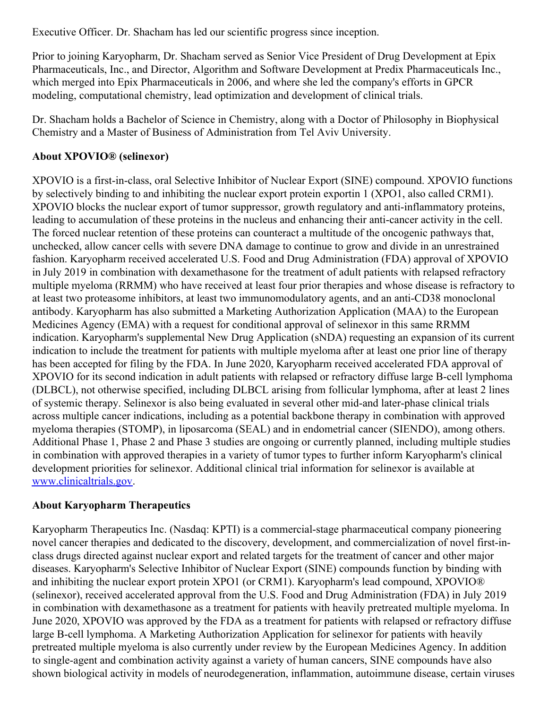Executive Officer. Dr. Shacham has led our scientific progress since inception.

Prior to joining Karyopharm, Dr. Shacham served as Senior Vice President of Drug Development at Epix Pharmaceuticals, Inc., and Director, Algorithm and Software Development at Predix Pharmaceuticals Inc., which merged into Epix Pharmaceuticals in 2006, and where she led the company's efforts in GPCR modeling, computational chemistry, lead optimization and development of clinical trials.

Dr. Shacham holds a Bachelor of Science in Chemistry, along with a Doctor of Philosophy in Biophysical Chemistry and a Master of Business of Administration from Tel Aviv University.

## **About XPOVIO® (selinexor)**

XPOVIO is a first-in-class, oral Selective Inhibitor of Nuclear Export (SINE) compound. XPOVIO functions by selectively binding to and inhibiting the nuclear export protein exportin 1 (XPO1, also called CRM1). XPOVIO blocks the nuclear export of tumor suppressor, growth regulatory and anti-inflammatory proteins, leading to accumulation of these proteins in the nucleus and enhancing their anti-cancer activity in the cell. The forced nuclear retention of these proteins can counteract a multitude of the oncogenic pathways that, unchecked, allow cancer cells with severe DNA damage to continue to grow and divide in an unrestrained fashion. Karyopharm received accelerated U.S. Food and Drug Administration (FDA) approval of XPOVIO in July 2019 in combination with dexamethasone for the treatment of adult patients with relapsed refractory multiple myeloma (RRMM) who have received at least four prior therapies and whose disease is refractory to at least two proteasome inhibitors, at least two immunomodulatory agents, and an anti-CD38 monoclonal antibody. Karyopharm has also submitted a Marketing Authorization Application (MAA) to the European Medicines Agency (EMA) with a request for conditional approval of selinexor in this same RRMM indication. Karyopharm's supplemental New Drug Application (sNDA) requesting an expansion of its current indication to include the treatment for patients with multiple myeloma after at least one prior line of therapy has been accepted for filing by the FDA. In June 2020, Karyopharm received accelerated FDA approval of XPOVIO for its second indication in adult patients with relapsed or refractory diffuse large B-cell lymphoma (DLBCL), not otherwise specified, including DLBCL arising from follicular lymphoma, after at least 2 lines of systemic therapy. Selinexor is also being evaluated in several other mid-and later-phase clinical trials across multiple cancer indications, including as a potential backbone therapy in combination with approved myeloma therapies (STOMP), in liposarcoma (SEAL) and in endometrial cancer (SIENDO), among others. Additional Phase 1, Phase 2 and Phase 3 studies are ongoing or currently planned, including multiple studies in combination with approved therapies in a variety of tumor types to further inform Karyopharm's clinical development priorities for selinexor. Additional clinical trial information for selinexor is available at [www.clinicaltrials.gov](https://c212.net/c/link/?t=0&l=en&o=2892978-1&h=648050595&u=http%3A%2F%2Fwww.clinicaltrials.gov%2F&a=www.clinicaltrials.gov).

#### **About Karyopharm Therapeutics**

Karyopharm Therapeutics Inc. (Nasdaq: KPTI) is a commercial-stage pharmaceutical company pioneering novel cancer therapies and dedicated to the discovery, development, and commercialization of novel first-inclass drugs directed against nuclear export and related targets for the treatment of cancer and other major diseases. Karyopharm's Selective Inhibitor of Nuclear Export (SINE) compounds function by binding with and inhibiting the nuclear export protein XPO1 (or CRM1). Karyopharm's lead compound, XPOVIO® (selinexor), received accelerated approval from the U.S. Food and Drug Administration (FDA) in July 2019 in combination with dexamethasone as a treatment for patients with heavily pretreated multiple myeloma. In June 2020, XPOVIO was approved by the FDA as a treatment for patients with relapsed or refractory diffuse large B-cell lymphoma. A Marketing Authorization Application for selinexor for patients with heavily pretreated multiple myeloma is also currently under review by the European Medicines Agency. In addition to single-agent and combination activity against a variety of human cancers, SINE compounds have also shown biological activity in models of neurodegeneration, inflammation, autoimmune disease, certain viruses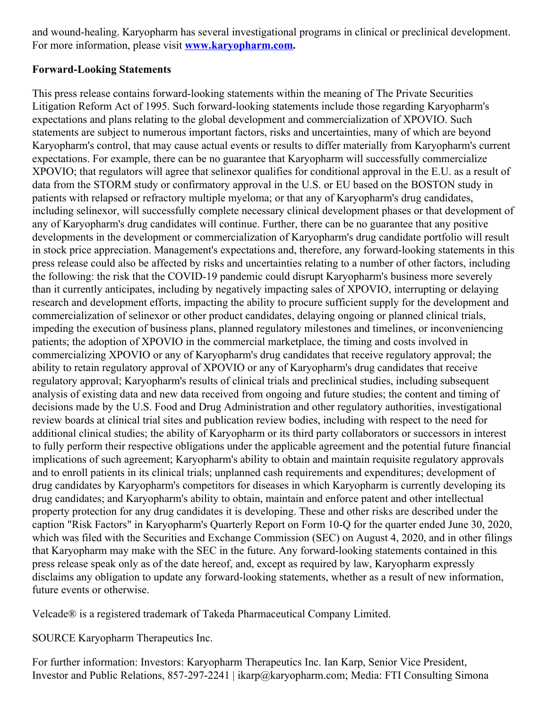and wound-healing. Karyopharm has several investigational programs in clinical or preclinical development. For more information, please visit **[www.karyopharm.com](https://c212.net/c/link/?t=0&l=en&o=2892978-1&h=41363345&u=http%3A%2F%2Fwww.karyopharm.com%2F&a=www.karyopharm.com).**

#### **Forward-Looking Statements**

This press release contains forward-looking statements within the meaning of The Private Securities Litigation Reform Act of 1995. Such forward-looking statements include those regarding Karyopharm's expectations and plans relating to the global development and commercialization of XPOVIO. Such statements are subject to numerous important factors, risks and uncertainties, many of which are beyond Karyopharm's control, that may cause actual events or results to differ materially from Karyopharm's current expectations. For example, there can be no guarantee that Karyopharm will successfully commercialize XPOVIO; that regulators will agree that selinexor qualifies for conditional approval in the E.U. as a result of data from the STORM study or confirmatory approval in the U.S. or EU based on the BOSTON study in patients with relapsed or refractory multiple myeloma; or that any of Karyopharm's drug candidates, including selinexor, will successfully complete necessary clinical development phases or that development of any of Karyopharm's drug candidates will continue. Further, there can be no guarantee that any positive developments in the development or commercialization of Karyopharm's drug candidate portfolio will result in stock price appreciation. Management's expectations and, therefore, any forward-looking statements in this press release could also be affected by risks and uncertainties relating to a number of other factors, including the following: the risk that the COVID-19 pandemic could disrupt Karyopharm's business more severely than it currently anticipates, including by negatively impacting sales of XPOVIO, interrupting or delaying research and development efforts, impacting the ability to procure sufficient supply for the development and commercialization of selinexor or other product candidates, delaying ongoing or planned clinical trials, impeding the execution of business plans, planned regulatory milestones and timelines, or inconveniencing patients; the adoption of XPOVIO in the commercial marketplace, the timing and costs involved in commercializing XPOVIO or any of Karyopharm's drug candidates that receive regulatory approval; the ability to retain regulatory approval of XPOVIO or any of Karyopharm's drug candidates that receive regulatory approval; Karyopharm's results of clinical trials and preclinical studies, including subsequent analysis of existing data and new data received from ongoing and future studies; the content and timing of decisions made by the U.S. Food and Drug Administration and other regulatory authorities, investigational review boards at clinical trial sites and publication review bodies, including with respect to the need for additional clinical studies; the ability of Karyopharm or its third party collaborators or successors in interest to fully perform their respective obligations under the applicable agreement and the potential future financial implications of such agreement; Karyopharm's ability to obtain and maintain requisite regulatory approvals and to enroll patients in its clinical trials; unplanned cash requirements and expenditures; development of drug candidates by Karyopharm's competitors for diseases in which Karyopharm is currently developing its drug candidates; and Karyopharm's ability to obtain, maintain and enforce patent and other intellectual property protection for any drug candidates it is developing. These and other risks are described under the caption "Risk Factors" in Karyopharm's Quarterly Report on Form 10-Q for the quarter ended June 30, 2020, which was filed with the Securities and Exchange Commission (SEC) on August 4, 2020, and in other filings that Karyopharm may make with the SEC in the future. Any forward-looking statements contained in this press release speak only as of the date hereof, and, except as required by law, Karyopharm expressly disclaims any obligation to update any forward-looking statements, whether as a result of new information, future events or otherwise.

Velcade® is a registered trademark of Takeda Pharmaceutical Company Limited.

SOURCE Karyopharm Therapeutics Inc.

For further information: Investors: Karyopharm Therapeutics Inc. Ian Karp, Senior Vice President, Investor and Public Relations, 857-297-2241 | ikarp@karyopharm.com; Media: FTI Consulting Simona